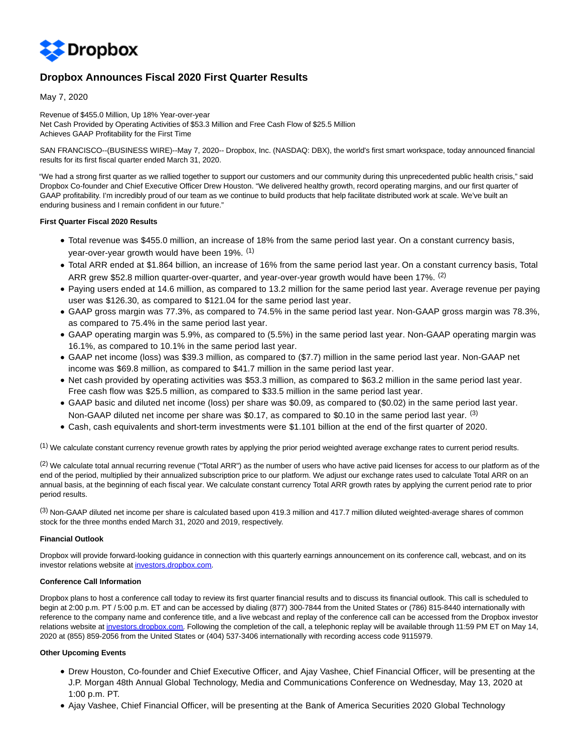

# **Dropbox Announces Fiscal 2020 First Quarter Results**

May 7, 2020

Revenue of \$455.0 Million, Up 18% Year-over-year Net Cash Provided by Operating Activities of \$53.3 Million and Free Cash Flow of \$25.5 Million Achieves GAAP Profitability for the First Time

SAN FRANCISCO--(BUSINESS WIRE)--May 7, 2020-- Dropbox, Inc. (NASDAQ: DBX), the world's first smart workspace, today announced financial results for its first fiscal quarter ended March 31, 2020.

"We had a strong first quarter as we rallied together to support our customers and our community during this unprecedented public health crisis," said Dropbox Co-founder and Chief Executive Officer Drew Houston. "We delivered healthy growth, record operating margins, and our first quarter of GAAP profitability. I'm incredibly proud of our team as we continue to build products that help facilitate distributed work at scale. We've built an enduring business and I remain confident in our future."

### **First Quarter Fiscal 2020 Results**

- Total revenue was \$455.0 million, an increase of 18% from the same period last year. On a constant currency basis, year-over-year growth would have been 19%. (1)
- Total ARR ended at \$1.864 billion, an increase of 16% from the same period last year. On a constant currency basis, Total ARR grew \$52.8 million quarter-over-quarter, and year-over-year growth would have been 17%. <sup>(2)</sup>
- Paying users ended at 14.6 million, as compared to 13.2 million for the same period last year. Average revenue per paying user was \$126.30, as compared to \$121.04 for the same period last year.
- GAAP gross margin was 77.3%, as compared to 74.5% in the same period last year. Non-GAAP gross margin was 78.3%, as compared to 75.4% in the same period last year.
- GAAP operating margin was 5.9%, as compared to (5.5%) in the same period last year. Non-GAAP operating margin was 16.1%, as compared to 10.1% in the same period last year.
- GAAP net income (loss) was \$39.3 million, as compared to (\$7.7) million in the same period last year. Non-GAAP net income was \$69.8 million, as compared to \$41.7 million in the same period last year.
- Net cash provided by operating activities was \$53.3 million, as compared to \$63.2 million in the same period last year. Free cash flow was \$25.5 million, as compared to \$33.5 million in the same period last year.
- GAAP basic and diluted net income (loss) per share was \$0.09, as compared to (\$0.02) in the same period last year. Non-GAAP diluted net income per share was \$0.17, as compared to \$0.10 in the same period last year. <sup>(3)</sup>
- Cash, cash equivalents and short-term investments were \$1.101 billion at the end of the first quarter of 2020.

(1) We calculate constant currency revenue growth rates by applying the prior period weighted average exchange rates to current period results.

(2) We calculate total annual recurring revenue ("Total ARR") as the number of users who have active paid licenses for access to our platform as of the end of the period, multiplied by their annualized subscription price to our platform. We adjust our exchange rates used to calculate Total ARR on an annual basis, at the beginning of each fiscal year. We calculate constant currency Total ARR growth rates by applying the current period rate to prior period results.

(3) Non-GAAP diluted net income per share is calculated based upon 419.3 million and 417.7 million diluted weighted-average shares of common stock for the three months ended March 31, 2020 and 2019, respectively.

### **Financial Outlook**

Dropbox will provide forward-looking guidance in connection with this quarterly earnings announcement on its conference call, webcast, and on its investor relations website a[t investors.dropbox.com.](http://investors.dropbox.com/)

### **Conference Call Information**

Dropbox plans to host a conference call today to review its first quarter financial results and to discuss its financial outlook. This call is scheduled to begin at 2:00 p.m. PT / 5:00 p.m. ET and can be accessed by dialing (877) 300-7844 from the United States or (786) 815-8440 internationally with reference to the company name and conference title, and a live webcast and replay of the conference call can be accessed from the Dropbox investor relations website a[t investors.dropbox.com.](http://investors.dropbox.com/) Following the completion of the call, a telephonic replay will be available through 11:59 PM ET on May 14, 2020 at (855) 859-2056 from the United States or (404) 537-3406 internationally with recording access code 9115979.

### **Other Upcoming Events**

- Drew Houston, Co-founder and Chief Executive Officer, and Ajay Vashee, Chief Financial Officer, will be presenting at the J.P. Morgan 48th Annual Global Technology, Media and Communications Conference on Wednesday, May 13, 2020 at 1:00 p.m. PT.
- Ajay Vashee, Chief Financial Officer, will be presenting at the Bank of America Securities 2020 Global Technology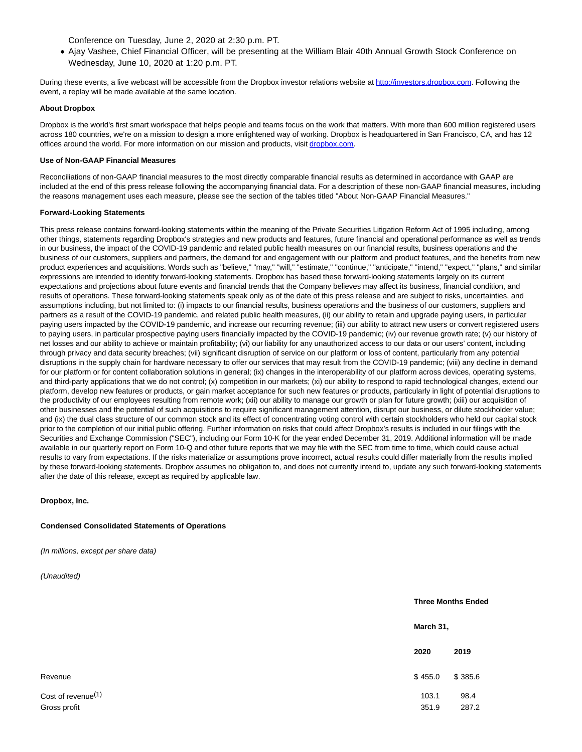Conference on Tuesday, June 2, 2020 at 2:30 p.m. PT.

Ajay Vashee, Chief Financial Officer, will be presenting at the William Blair 40th Annual Growth Stock Conference on Wednesday, June 10, 2020 at 1:20 p.m. PT.

During these events, a live webcast will be accessible from the Dropbox investor relations website at [http://investors.dropbox.com.](https://cts.businesswire.com/ct/CT?id=smartlink&url=http%3A%2F%2Finvestors.dropbox.com&esheet=52216655&newsitemid=20200507005905&lan=en-US&anchor=http%3A%2F%2Finvestors.dropbox.com&index=1&md5=702b47a0156f23cc752aaa513515333e) Following the event, a replay will be made available at the same location.

### **About Dropbox**

Dropbox is the world's first smart workspace that helps people and teams focus on the work that matters. With more than 600 million registered users across 180 countries, we're on a mission to design a more enlightened way of working. Dropbox is headquartered in San Francisco, CA, and has 12 offices around the world. For more information on our mission and products, visit [dropbox.com.](http://dropbox.com/)

#### **Use of Non-GAAP Financial Measures**

Reconciliations of non-GAAP financial measures to the most directly comparable financial results as determined in accordance with GAAP are included at the end of this press release following the accompanying financial data. For a description of these non-GAAP financial measures, including the reasons management uses each measure, please see the section of the tables titled "About Non-GAAP Financial Measures."

#### **Forward-Looking Statements**

This press release contains forward-looking statements within the meaning of the Private Securities Litigation Reform Act of 1995 including, among other things, statements regarding Dropbox's strategies and new products and features, future financial and operational performance as well as trends in our business, the impact of the COVID-19 pandemic and related public health measures on our financial results, business operations and the business of our customers, suppliers and partners, the demand for and engagement with our platform and product features, and the benefits from new product experiences and acquisitions. Words such as "believe," "may," "will," "estimate," "continue," "anticipate," "intend," "expect," "plans," and similar expressions are intended to identify forward-looking statements. Dropbox has based these forward-looking statements largely on its current expectations and projections about future events and financial trends that the Company believes may affect its business, financial condition, and results of operations. These forward-looking statements speak only as of the date of this press release and are subject to risks, uncertainties, and assumptions including, but not limited to: (i) impacts to our financial results, business operations and the business of our customers, suppliers and partners as a result of the COVID-19 pandemic, and related public health measures, (ii) our ability to retain and upgrade paying users, in particular paying users impacted by the COVID-19 pandemic, and increase our recurring revenue; (iii) our ability to attract new users or convert registered users to paying users, in particular prospective paying users financially impacted by the COVID-19 pandemic; (iv) our revenue growth rate; (v) our history of net losses and our ability to achieve or maintain profitability; (vi) our liability for any unauthorized access to our data or our users' content, including through privacy and data security breaches; (vii) significant disruption of service on our platform or loss of content, particularly from any potential disruptions in the supply chain for hardware necessary to offer our services that may result from the COVID-19 pandemic; (viii) any decline in demand for our platform or for content collaboration solutions in general; (ix) changes in the interoperability of our platform across devices, operating systems, and third-party applications that we do not control; (x) competition in our markets; (xi) our ability to respond to rapid technological changes, extend our platform, develop new features or products, or gain market acceptance for such new features or products, particularly in light of potential disruptions to the productivity of our employees resulting from remote work; (xii) our ability to manage our growth or plan for future growth; (xiii) our acquisition of other businesses and the potential of such acquisitions to require significant management attention, disrupt our business, or dilute stockholder value; and (ix) the dual class structure of our common stock and its effect of concentrating voting control with certain stockholders who held our capital stock prior to the completion of our initial public offering. Further information on risks that could affect Dropbox's results is included in our filings with the Securities and Exchange Commission ("SEC"), including our Form 10-K for the year ended December 31, 2019. Additional information will be made available in our quarterly report on Form 10-Q and other future reports that we may file with the SEC from time to time, which could cause actual results to vary from expectations. If the risks materialize or assumptions prove incorrect, actual results could differ materially from the results implied by these forward-looking statements. Dropbox assumes no obligation to, and does not currently intend to, update any such forward-looking statements after the date of this release, except as required by applicable law.

#### **Dropbox, Inc.**

### **Condensed Consolidated Statements of Operations**

(In millions, except per share data)

|                                                |                | <b>Three Months Ended</b> |
|------------------------------------------------|----------------|---------------------------|
|                                                | March 31,      |                           |
|                                                | 2020           | 2019                      |
| Revenue                                        | \$455.0        | \$385.6                   |
| Cost of revenue <sup>(1)</sup><br>Gross profit | 103.1<br>351.9 | 98.4<br>287.2             |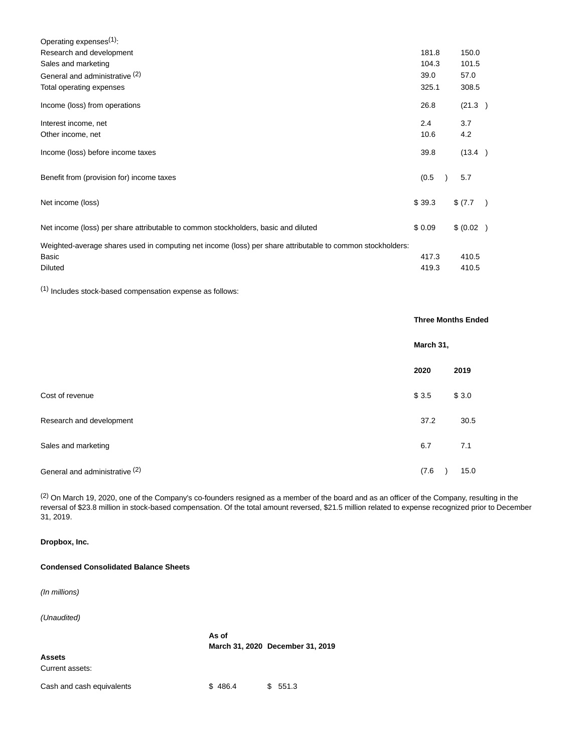| Operating expenses <sup>(1)</sup> :                                                                        |           |           |                           |  |
|------------------------------------------------------------------------------------------------------------|-----------|-----------|---------------------------|--|
| Research and development                                                                                   | 181.8     |           | 150.0                     |  |
| Sales and marketing                                                                                        | 104.3     |           | 101.5                     |  |
| General and administrative (2)                                                                             | 39.0      |           | 57.0                      |  |
| Total operating expenses                                                                                   | 325.1     |           | 308.5                     |  |
| Income (loss) from operations                                                                              | 26.8      |           | (21.3)                    |  |
| Interest income, net                                                                                       | 2.4       |           | 3.7                       |  |
| Other income, net                                                                                          | 10.6      |           | 4.2                       |  |
| Income (loss) before income taxes                                                                          | 39.8      |           | (13.4)                    |  |
| Benefit from (provision for) income taxes                                                                  | (0.5)     | $\lambda$ | 5.7                       |  |
| Net income (loss)                                                                                          | \$39.3    |           | \$(7.7)                   |  |
| Net income (loss) per share attributable to common stockholders, basic and diluted                         | \$0.09    |           | \$ (0.02)                 |  |
| Weighted-average shares used in computing net income (loss) per share attributable to common stockholders: |           |           |                           |  |
| <b>Basic</b>                                                                                               | 417.3     |           | 410.5                     |  |
| <b>Diluted</b>                                                                                             | 419.3     |           | 410.5                     |  |
| (1) Includes stock-based compensation expense as follows:                                                  |           |           |                           |  |
|                                                                                                            |           |           | <b>Three Months Ended</b> |  |
|                                                                                                            | March 31, |           |                           |  |
|                                                                                                            | 2020      |           | 2019                      |  |
| Cost of revenue                                                                                            | \$3.5     |           | \$3.0                     |  |
| Research and development                                                                                   | 37.2      |           | 30.5                      |  |

| Sales and marketing            | 6.7   |      |
|--------------------------------|-------|------|
| General and administrative (2) | (7.6) | 15.0 |

 $^{(2)}$  On March 19, 2020, one of the Company's co-founders resigned as a member of the board and as an officer of the Company, resulting in the reversal of \$23.8 million in stock-based compensation. Of the total amount reversed, \$21.5 million related to expense recognized prior to December 31, 2019.

## **Dropbox, Inc.**

**Condensed Consolidated Balance Sheets**

(In millions)

|                           | As of<br>March 31, 2020 December 31, 2019 |  |
|---------------------------|-------------------------------------------|--|
| <b>Assets</b>             |                                           |  |
| Current assets:           |                                           |  |
| Cash and cash equivalents | \$486.4<br>551.3<br>\$                    |  |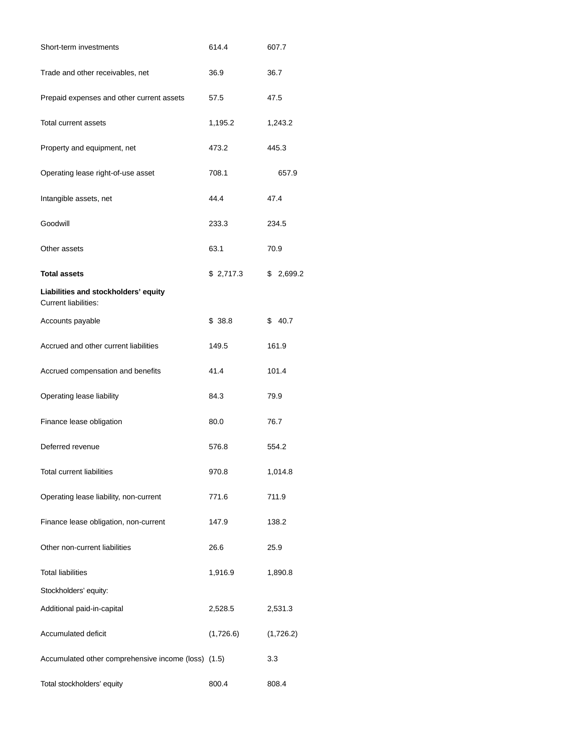| Short-term investments                                       | 614.4     | 607.7     |
|--------------------------------------------------------------|-----------|-----------|
| Trade and other receivables, net                             | 36.9      | 36.7      |
| Prepaid expenses and other current assets                    | 57.5      | 47.5      |
| Total current assets                                         | 1,195.2   | 1,243.2   |
| Property and equipment, net                                  | 473.2     | 445.3     |
| Operating lease right-of-use asset                           | 708.1     | 657.9     |
| Intangible assets, net                                       | 44.4      | 47.4      |
| Goodwill                                                     | 233.3     | 234.5     |
| Other assets                                                 | 63.1      | 70.9      |
| <b>Total assets</b>                                          | \$2,717.3 | \$2,699.2 |
| Liabilities and stockholders' equity<br>Current liabilities: |           |           |
| Accounts payable                                             | \$38.8    | \$40.7    |
| Accrued and other current liabilities                        | 149.5     | 161.9     |
| Accrued compensation and benefits                            | 41.4      | 101.4     |
| Operating lease liability                                    | 84.3      | 79.9      |
| Finance lease obligation                                     | 80.0      | 76.7      |
| Deferred revenue                                             | 576.8     | 554.2     |
| <b>Total current liabilities</b>                             | 970.8     | 1,014.8   |
| Operating lease liability, non-current                       | 771.6     | 711.9     |
| Finance lease obligation, non-current                        | 147.9     | 138.2     |
| Other non-current liabilities                                | 26.6      | 25.9      |
| <b>Total liabilities</b>                                     | 1,916.9   | 1,890.8   |
| Stockholders' equity:                                        |           |           |
| Additional paid-in-capital                                   | 2,528.5   | 2,531.3   |
| Accumulated deficit                                          | (1,726.6) | (1,726.2) |
| Accumulated other comprehensive income (loss) (1.5)          |           | 3.3       |
| Total stockholders' equity                                   | 800.4     | 808.4     |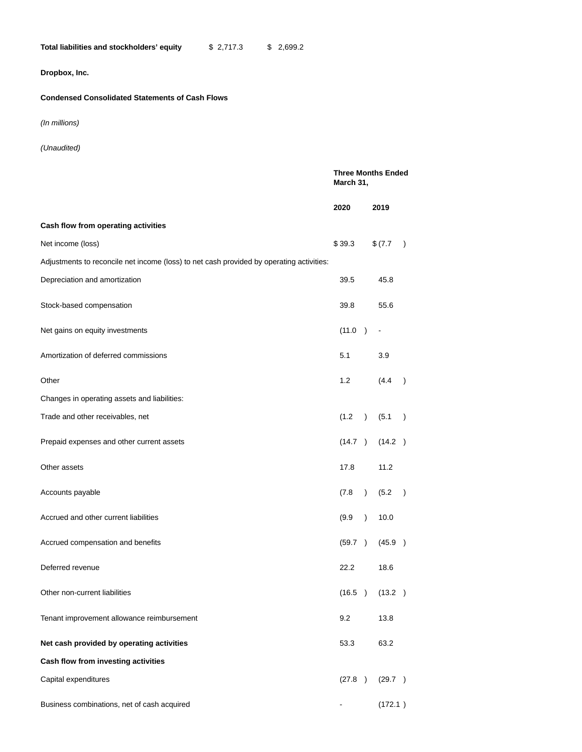| Total liabilities and stockholders' equity | \$2,717.3 | \$2,699.2 |
|--------------------------------------------|-----------|-----------|
|--------------------------------------------|-----------|-----------|

**Dropbox, Inc.**

## **Condensed Consolidated Statements of Cash Flows**

- (In millions)
- (Unaudited)

|                                                                                          | <b>Three Months Ended</b><br>March 31, |           |                |               |
|------------------------------------------------------------------------------------------|----------------------------------------|-----------|----------------|---------------|
|                                                                                          | 2020                                   |           | 2019           |               |
| Cash flow from operating activities                                                      |                                        |           |                |               |
| Net income (loss)                                                                        | \$39.3                                 |           | \$ (7.7)       | $\lambda$     |
| Adjustments to reconcile net income (loss) to net cash provided by operating activities: |                                        |           |                |               |
| Depreciation and amortization                                                            | 39.5                                   |           | 45.8           |               |
| Stock-based compensation                                                                 | 39.8                                   |           | 55.6           |               |
| Net gains on equity investments                                                          | (11.0)                                 |           | $\blacksquare$ |               |
| Amortization of deferred commissions                                                     | 5.1                                    |           | 3.9            |               |
| Other                                                                                    | 1.2                                    |           | (4.4)          | $\lambda$     |
| Changes in operating assets and liabilities:                                             |                                        |           |                |               |
| Trade and other receivables, net                                                         | (1.2)                                  | $\lambda$ | (5.1)          | $\lambda$     |
| Prepaid expenses and other current assets                                                | (14.7)                                 |           | (14.2)         |               |
| Other assets                                                                             | 17.8                                   |           | 11.2           |               |
| Accounts payable                                                                         | (7.8)                                  | $\lambda$ | (5.2)          | $\rightarrow$ |
| Accrued and other current liabilities                                                    | (9.9)                                  | $\lambda$ | 10.0           |               |
| Accrued compensation and benefits                                                        | (59.7)                                 |           | (45.9)         |               |
| Deferred revenue                                                                         | 22.2                                   |           | 18.6           |               |
| Other non-current liabilities                                                            | (16.5)                                 |           | (13.2)         |               |
| Tenant improvement allowance reimbursement                                               | 9.2                                    |           | 13.8           |               |
| Net cash provided by operating activities                                                | 53.3                                   |           | 63.2           |               |
| Cash flow from investing activities                                                      |                                        |           |                |               |
| Capital expenditures                                                                     | (27.8)                                 |           | (29.7)         |               |
| Business combinations, net of cash acquired                                              |                                        |           | (172.1)        |               |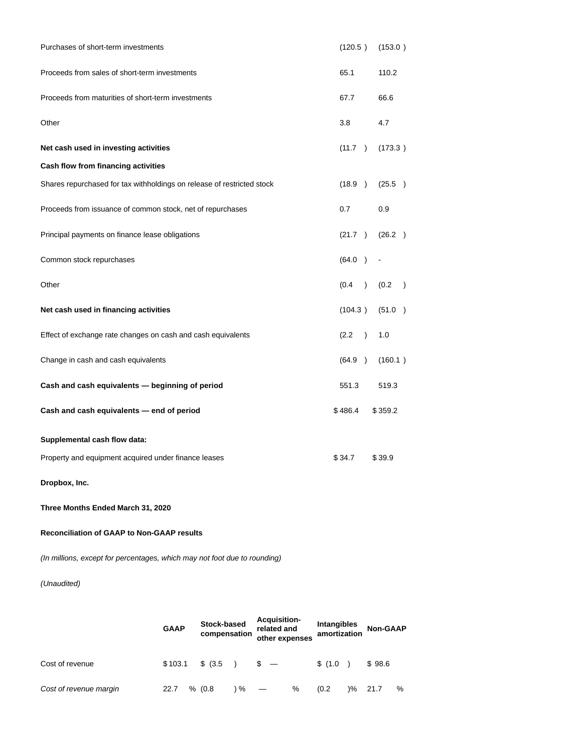| Purchases of short-term investments                                    | (120.5) |               | (153.0) |               |
|------------------------------------------------------------------------|---------|---------------|---------|---------------|
| Proceeds from sales of short-term investments                          | 65.1    |               | 110.2   |               |
| Proceeds from maturities of short-term investments                     | 67.7    |               | 66.6    |               |
| Other                                                                  | 3.8     |               | 4.7     |               |
| Net cash used in investing activities                                  | (11.7)  |               | (173.3) |               |
| Cash flow from financing activities                                    |         |               |         |               |
| Shares repurchased for tax withholdings on release of restricted stock | (18.9)  |               | (25.5)  |               |
| Proceeds from issuance of common stock, net of repurchases             | 0.7     |               | 0.9     |               |
| Principal payments on finance lease obligations                        | (21.7)  |               | (26.2)  |               |
| Common stock repurchases                                               | (64.0)  |               |         |               |
| Other                                                                  | (0.4)   | $\lambda$     | (0.2)   | $\mathcal{E}$ |
| Net cash used in financing activities                                  | (104.3) |               | (51.0)  |               |
| Effect of exchange rate changes on cash and cash equivalents           | (2.2)   | $\rightarrow$ | 1.0     |               |
| Change in cash and cash equivalents                                    | (64.9)  |               | (160.1) |               |
| Cash and cash equivalents - beginning of period                        | 551.3   |               | 519.3   |               |
| Cash and cash equivalents - end of period                              | \$486.4 |               | \$359.2 |               |
| Supplemental cash flow data:                                           |         |               |         |               |
| Property and equipment acquired under finance leases                   | \$34.7  |               | \$39.9  |               |
| Dropbox, Inc.                                                          |         |               |         |               |
|                                                                        |         |               |         |               |

**Three Months Ended March 31, 2020**

## **Reconciliation of GAAP to Non-GAAP results**

(In millions, except for percentages, which may not foot due to rounding)

|                        | <b>GAAP</b> | Stock-based<br>compensation |     |       | <b>Acquisition-</b><br>related and<br>other expenses |         | Intangibles<br>amortization |        | <b>Non-GAAP</b> |
|------------------------|-------------|-----------------------------|-----|-------|------------------------------------------------------|---------|-----------------------------|--------|-----------------|
| Cost of revenue        | \$103.1     | \$ (3.5)                    |     | $s =$ |                                                      | \$(1.0) |                             | \$98.6 |                 |
| Cost of revenue margin | 22.7        | % (0.8)                     | ) % |       | %                                                    | (0.2)   | )%                          | 21.7   | %               |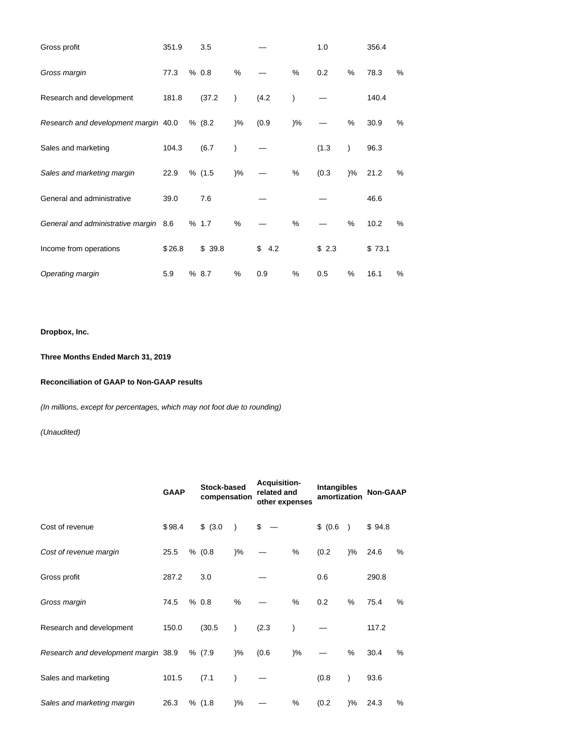| Gross profit                          | 351.9  | 3.5     |               |       |               | 1.0   |               | 356.4  |   |
|---------------------------------------|--------|---------|---------------|-------|---------------|-------|---------------|--------|---|
| Gross margin                          | 77.3   | % 0.8   | %             |       | %             | 0.2   | %             | 78.3   | % |
| Research and development              | 181.8  | (37.2)  | $\mathcal{E}$ | (4.2) | $\mathcal{E}$ |       |               | 140.4  |   |
| Research and development margin 40.0  |        | % (8.2) | $)\%$         | (0.9) | $)\%$         |       | %             | 30.9   | % |
| Sales and marketing                   | 104.3  | (6.7)   |               |       |               | (1.3) | $\mathcal{L}$ | 96.3   |   |
| Sales and marketing margin            | 22.9   | % (1.5) | $\frac{9}{6}$ |       | %             | (0.3) | $)\%$         | 21.2   | % |
| General and administrative            | 39.0   | 7.6     |               |       |               |       |               | 46.6   |   |
| General and administrative margin 8.6 |        | % 1.7   | %             |       | %             |       | %             | 10.2   | % |
| Income from operations                | \$26.8 | \$39.8  |               | \$4.2 |               | \$2.3 |               | \$73.1 |   |
| Operating margin                      | 5.9    | % 8.7   | %             | 0.9   | %             | 0.5   | %             | 16.1   | % |

## **Dropbox, Inc.**

**Three Months Ended March 31, 2019**

## **Reconciliation of GAAP to Non-GAAP results**

(In millions, except for percentages, which may not foot due to rounding)

|                                      | <b>GAAP</b> |  | <b>Stock-based</b><br>compensation |               | <b>Acquisition-</b><br>related and<br>other expenses |       | <b>Intangibles</b><br>amortization |               | <b>Non-GAAP</b> |   |
|--------------------------------------|-------------|--|------------------------------------|---------------|------------------------------------------------------|-------|------------------------------------|---------------|-----------------|---|
| Cost of revenue                      | \$98.4      |  | \$ (3.0)                           | $\rightarrow$ | \$                                                   |       | \$ (0.6)                           | $\rightarrow$ | \$94.8          |   |
| Cost of revenue margin               | 25.5        |  | % (0.8)                            | $)\%$         |                                                      | %     | (0.2)                              | $)\%$         | 24.6            | % |
| Gross profit                         | 287.2       |  | 3.0                                |               |                                                      |       | 0.6                                |               | 290.8           |   |
| Gross margin                         | 74.5        |  | % 0.8                              | $\%$          |                                                      | %     | 0.2                                | %             | 75.4            | % |
| Research and development             | 150.0       |  | (30.5)                             | $\mathcal{E}$ | (2.3)                                                |       |                                    |               | 117.2           |   |
| Research and development margin 38.9 |             |  | % (7.9)                            | $)\%$         | (0.6)                                                | $)\%$ |                                    | %             | 30.4            | % |
| Sales and marketing                  | 101.5       |  | (7.1)                              | $\mathcal{E}$ |                                                      |       | (0.8)                              | $\mathcal{L}$ | 93.6            |   |
| Sales and marketing margin           | 26.3        |  | % (1.8)                            | $)\%$         |                                                      | %     | (0.2)                              | $)\%$         | 24.3            | % |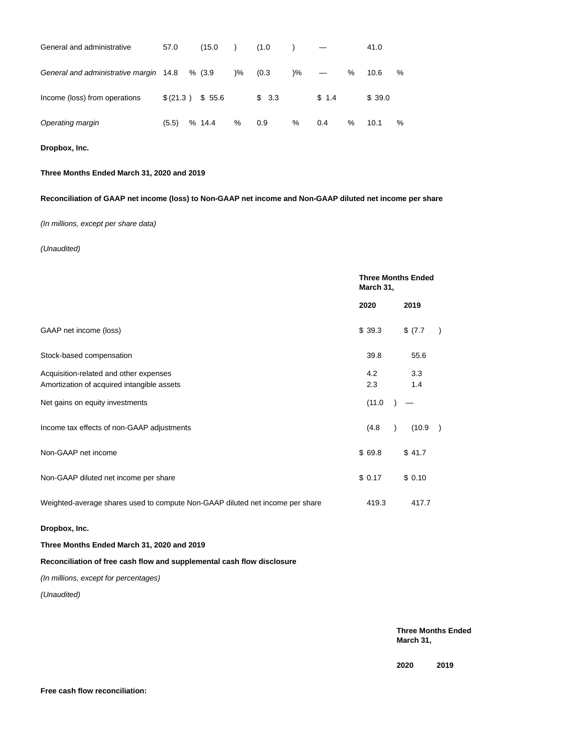| General and administrative             | 57.0  | (15.0)          |      | (1.0) |               |       |   | 41.0   |   |
|----------------------------------------|-------|-----------------|------|-------|---------------|-------|---|--------|---|
| General and administrative margin 14.8 |       | % (3.9)         | $\%$ | (0.3) | $\frac{9}{6}$ |       | % | 10.6   | % |
| Income (loss) from operations          |       | \$ (21.3) \$5.6 |      | \$3.3 |               | \$1.4 |   | \$39.0 |   |
| Operating margin                       | (5.5) | %14.4           | %    | 0.9   | %             | 0.4   | % | 10.1   | % |

**Dropbox, Inc.**

**Three Months Ended March 31, 2020 and 2019**

## **Reconciliation of GAAP net income (loss) to Non-GAAP net income and Non-GAAP diluted net income per share**

(In millions, except per share data)

(Unaudited)

|                                                                                      | <b>Three Months Ended</b><br>March 31, |                         |  |  |
|--------------------------------------------------------------------------------------|----------------------------------------|-------------------------|--|--|
|                                                                                      | 2020                                   | 2019                    |  |  |
| GAAP net income (loss)                                                               | \$39.3                                 | \$ (7.7)                |  |  |
| Stock-based compensation                                                             | 39.8                                   | 55.6                    |  |  |
| Acquisition-related and other expenses<br>Amortization of acquired intangible assets | 4.2<br>2.3                             | 3.3<br>1.4              |  |  |
| Net gains on equity investments                                                      | (11.0)                                 |                         |  |  |
| Income tax effects of non-GAAP adjustments                                           | (4.8)                                  | (10.9)<br>$\mathcal{L}$ |  |  |
| Non-GAAP net income                                                                  | \$69.8                                 | \$41.7                  |  |  |
| Non-GAAP diluted net income per share                                                | \$0.17                                 | \$0.10                  |  |  |
| Weighted-average shares used to compute Non-GAAP diluted net income per share        | 419.3                                  | 417.7                   |  |  |
|                                                                                      |                                        |                         |  |  |

**Dropbox, Inc.**

**Three Months Ended March 31, 2020 and 2019**

### **Reconciliation of free cash flow and supplemental cash flow disclosure**

(In millions, except for percentages)

(Unaudited)

**Three Months Ended March 31,**

**2020 2019**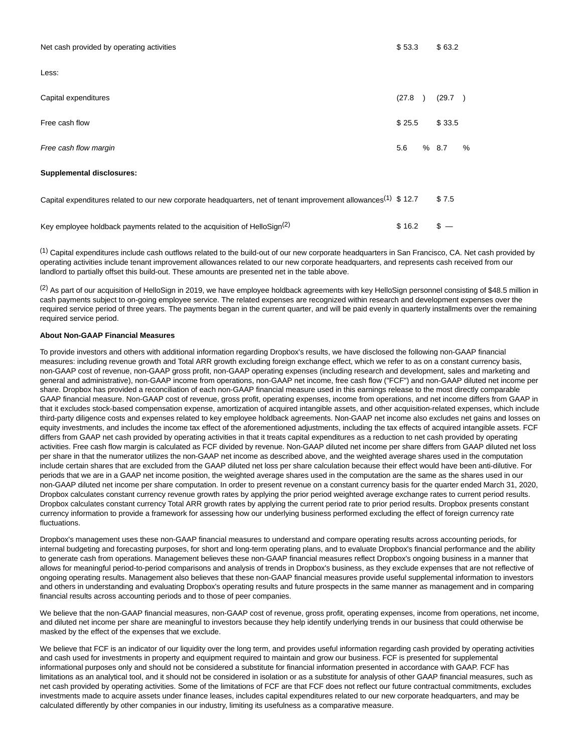| Net cash provided by operating activities                                                                                   | \$53.3 |  | \$63.2 |               |
|-----------------------------------------------------------------------------------------------------------------------------|--------|--|--------|---------------|
| Less:                                                                                                                       |        |  |        |               |
| Capital expenditures                                                                                                        | (27.8) |  | (29.7) |               |
| Free cash flow                                                                                                              | \$25.5 |  | \$33.5 |               |
| Free cash flow margin                                                                                                       | 5.6    |  | % 8.7  | $\frac{0}{6}$ |
| <b>Supplemental disclosures:</b>                                                                                            |        |  |        |               |
| Capital expenditures related to our new corporate headquarters, net of tenant improvement allowances <sup>(1)</sup> \$ 12.7 |        |  | \$7.5  |               |
| Key employee holdback payments related to the acquisition of HelloSign $(2)$                                                | \$16.2 |  | \$     |               |

(1) Capital expenditures include cash outflows related to the build-out of our new corporate headquarters in San Francisco, CA. Net cash provided by operating activities include tenant improvement allowances related to our new corporate headquarters, and represents cash received from our landlord to partially offset this build-out. These amounts are presented net in the table above.

 $(2)$  As part of our acquisition of HelloSign in 2019, we have employee holdback agreements with key HelloSign personnel consisting of \$48.5 million in cash payments subject to on-going employee service. The related expenses are recognized within research and development expenses over the required service period of three years. The payments began in the current quarter, and will be paid evenly in quarterly installments over the remaining required service period.

### **About Non-GAAP Financial Measures**

To provide investors and others with additional information regarding Dropbox's results, we have disclosed the following non-GAAP financial measures: including revenue growth and Total ARR growth excluding foreign exchange effect, which we refer to as on a constant currency basis, non-GAAP cost of revenue, non-GAAP gross profit, non-GAAP operating expenses (including research and development, sales and marketing and general and administrative), non-GAAP income from operations, non-GAAP net income, free cash flow ("FCF") and non-GAAP diluted net income per share. Dropbox has provided a reconciliation of each non-GAAP financial measure used in this earnings release to the most directly comparable GAAP financial measure. Non-GAAP cost of revenue, gross profit, operating expenses, income from operations, and net income differs from GAAP in that it excludes stock-based compensation expense, amortization of acquired intangible assets, and other acquisition-related expenses, which include third-party diligence costs and expenses related to key employee holdback agreements. Non-GAAP net income also excludes net gains and losses on equity investments, and includes the income tax effect of the aforementioned adjustments, including the tax effects of acquired intangible assets. FCF differs from GAAP net cash provided by operating activities in that it treats capital expenditures as a reduction to net cash provided by operating activities. Free cash flow margin is calculated as FCF divided by revenue. Non-GAAP diluted net income per share differs from GAAP diluted net loss per share in that the numerator utilizes the non-GAAP net income as described above, and the weighted average shares used in the computation include certain shares that are excluded from the GAAP diluted net loss per share calculation because their effect would have been anti-dilutive. For periods that we are in a GAAP net income position, the weighted average shares used in the computation are the same as the shares used in our non-GAAP diluted net income per share computation. In order to present revenue on a constant currency basis for the quarter ended March 31, 2020, Dropbox calculates constant currency revenue growth rates by applying the prior period weighted average exchange rates to current period results. Dropbox calculates constant currency Total ARR growth rates by applying the current period rate to prior period results. Dropbox presents constant currency information to provide a framework for assessing how our underlying business performed excluding the effect of foreign currency rate fluctuations.

Dropbox's management uses these non-GAAP financial measures to understand and compare operating results across accounting periods, for internal budgeting and forecasting purposes, for short and long-term operating plans, and to evaluate Dropbox's financial performance and the ability to generate cash from operations. Management believes these non-GAAP financial measures reflect Dropbox's ongoing business in a manner that allows for meaningful period-to-period comparisons and analysis of trends in Dropbox's business, as they exclude expenses that are not reflective of ongoing operating results. Management also believes that these non-GAAP financial measures provide useful supplemental information to investors and others in understanding and evaluating Dropbox's operating results and future prospects in the same manner as management and in comparing financial results across accounting periods and to those of peer companies.

We believe that the non-GAAP financial measures, non-GAAP cost of revenue, gross profit, operating expenses, income from operations, net income, and diluted net income per share are meaningful to investors because they help identify underlying trends in our business that could otherwise be masked by the effect of the expenses that we exclude.

We believe that FCF is an indicator of our liquidity over the long term, and provides useful information regarding cash provided by operating activities and cash used for investments in property and equipment required to maintain and grow our business. FCF is presented for supplemental informational purposes only and should not be considered a substitute for financial information presented in accordance with GAAP. FCF has limitations as an analytical tool, and it should not be considered in isolation or as a substitute for analysis of other GAAP financial measures, such as net cash provided by operating activities. Some of the limitations of FCF are that FCF does not reflect our future contractual commitments, excludes investments made to acquire assets under finance leases, includes capital expenditures related to our new corporate headquarters, and may be calculated differently by other companies in our industry, limiting its usefulness as a comparative measure.